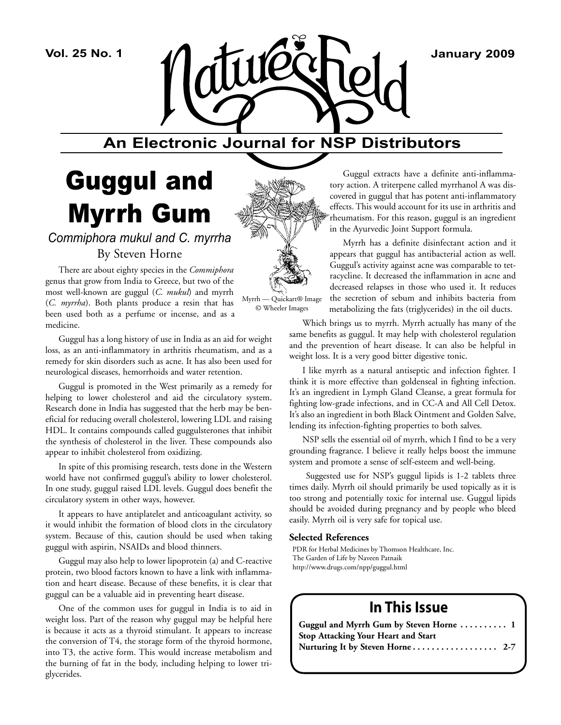

# **An Electronic Journal for NSP Distributors**

# Guggul and Myrrh Gum

*Commiphora mukul and C. myrrha* By Steven Horne

There are about eighty species in the *Commiphora* genus that grow from India to Greece, but two of the most well-known are guggul (*C. mukul*) and myrrh (*C. myrrha*). Both plants produce a resin that has been used both as a perfume or incense, and as a medicine.

Guggul has a long history of use in India as an aid for weight loss, as an anti-inflammatory in arthritis rheumatism, and as a remedy for skin disorders such as acne. It has also been used for neurological diseases, hemorrhoids and water retention.

Guggul is promoted in the West primarily as a remedy for helping to lower cholesterol and aid the circulatory system. Research done in India has suggested that the herb may be beneficial for reducing overall cholesterol, lowering LDL and raising HDL. It contains compounds called guggulsterones that inhibit the synthesis of cholesterol in the liver. These compounds also appear to inhibit cholesterol from oxidizing.

In spite of this promising research, tests done in the Western world have not confirmed guggul's ability to lower cholesterol. In one study, guggul raised LDL levels. Guggul does benefit the circulatory system in other ways, however.

It appears to have antiplatelet and anticoagulant activity, so it would inhibit the formation of blood clots in the circulatory system. Because of this, caution should be used when taking guggul with aspirin, NSAIDs and blood thinners.

Guggul may also help to lower lipoprotein (a) and C-reactive protein, two blood factors known to have a link with inflammation and heart disease. Because of these benefits, it is clear that guggul can be a valuable aid in preventing heart disease.

One of the common uses for guggul in India is to aid in weight loss. Part of the reason why guggul may be helpful here is because it acts as a thyroid stimulant. It appears to increase the conversion of T4, the storage form of the thyroid hormone, into T3, the active form. This would increase metabolism and the burning of fat in the body, including helping to lower triglycerides.



Myrrh — Quickart® Image © Wheeler Images

Guggul extracts have a definite anti-inflammatory action. A triterpene called myrrhanol A was discovered in guggul that has potent anti-inflammatory effects. This would account for its use in arthritis and rheumatism. For this reason, guggul is an ingredient in the Ayurvedic Joint Support formula.

Myrrh has a definite disinfectant action and it appears that guggul has antibacterial action as well. Guggul's activity against acne was comparable to tetracycline. It decreased the inflammation in acne and decreased relapses in those who used it. It reduces the secretion of sebum and inhibits bacteria from metabolizing the fats (triglycerides) in the oil ducts.

Which brings us to myrrh. Myrrh actually has many of the same benefits as guggul. It may help with cholesterol regulation and the prevention of heart disease. It can also be helpful in weight loss. It is a very good bitter digestive tonic.

I like myrrh as a natural antiseptic and infection fighter. I think it is more effective than goldenseal in fighting infection. It's an ingredient in Lymph Gland Cleanse, a great formula for fighting low-grade infections, and in CC-A and All Cell Detox. It's also an ingredient in both Black Ointment and Golden Salve, lending its infection-fighting properties to both salves.

NSP sells the essential oil of myrrh, which I find to be a very grounding fragrance. I believe it really helps boost the immune system and promote a sense of self-esteem and well-being.

 Suggested use for NSP's guggul lipids is 1-2 tablets three times daily. Myrrh oil should primarily be used topically as it is too strong and potentially toxic for internal use. Guggul lipids should be avoided during pregnancy and by people who bleed easily. Myrrh oil is very safe for topical use.

## **Selected References**

PDR for Herbal Medicines by Thomson Healthcare, Inc. The Garden of Life by Naveen Patnaik http://www.drugs.com/npp/guggul.html

## **In This Issue**

| Guggul and Myrrh Gum by Steven Horne  1    |  |
|--------------------------------------------|--|
| <b>Stop Attacking Your Heart and Start</b> |  |
|                                            |  |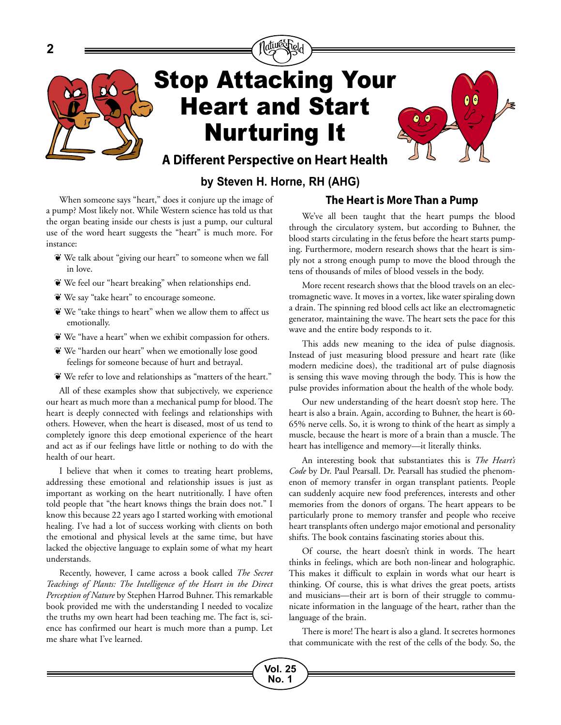

## **by Steven H. Horne, RH (AHG)**

When someone says "heart," does it conjure up the image of a pump? Most likely not. While Western science has told us that the organ beating inside our chests is just a pump, our cultural use of the word heart suggests the "heart" is much more. For instance:

- We talk about "giving our heart" to someone when we fall in love.
- We feel our "heart breaking" when relationships end.
- We say "take heart" to encourage someone.
- We "take things to heart" when we allow them to affect us emotionally.
- We "have a heart" when we exhibit compassion for others.
- We "harden our heart" when we emotionally lose good feelings for someone because of hurt and betrayal.
- We refer to love and relationships as "matters of the heart."

All of these examples show that subjectively, we experience our heart as much more than a mechanical pump for blood. The heart is deeply connected with feelings and relationships with others. However, when the heart is diseased, most of us tend to completely ignore this deep emotional experience of the heart and act as if our feelings have little or nothing to do with the health of our heart.

I believe that when it comes to treating heart problems, addressing these emotional and relationship issues is just as important as working on the heart nutritionally. I have often told people that "the heart knows things the brain does not." I know this because 22 years ago I started working with emotional healing. I've had a lot of success working with clients on both the emotional and physical levels at the same time, but have lacked the objective language to explain some of what my heart understands.

Recently, however, I came across a book called *The Secret Teachings of Plants: The Intelligence of the Heart in the Direct Perception of Nature* by Stephen Harrod Buhner. This remarkable book provided me with the understanding I needed to vocalize the truths my own heart had been teaching me. The fact is, science has confirmed our heart is much more than a pump. Let me share what I've learned.

## **The Heart is More Than a Pump**

We've all been taught that the heart pumps the blood through the circulatory system, but according to Buhner, the blood starts circulating in the fetus before the heart starts pumping. Furthermore, modern research shows that the heart is simply not a strong enough pump to move the blood through the tens of thousands of miles of blood vessels in the body.

More recent research shows that the blood travels on an electromagnetic wave. It moves in a vortex, like water spiraling down a drain. The spinning red blood cells act like an electromagnetic generator, maintaining the wave. The heart sets the pace for this wave and the entire body responds to it.

This adds new meaning to the idea of pulse diagnosis. Instead of just measuring blood pressure and heart rate (like modern medicine does), the traditional art of pulse diagnosis is sensing this wave moving through the body. This is how the pulse provides information about the health of the whole body.

Our new understanding of the heart doesn't stop here. The heart is also a brain. Again, according to Buhner, the heart is 60- 65% nerve cells. So, it is wrong to think of the heart as simply a muscle, because the heart is more of a brain than a muscle. The heart has intelligence and memory—it literally thinks.

An interesting book that substantiates this is *The Heart's Code* by Dr. Paul Pearsall. Dr. Pearsall has studied the phenomenon of memory transfer in organ transplant patients. People can suddenly acquire new food preferences, interests and other memories from the donors of organs. The heart appears to be particularly prone to memory transfer and people who receive heart transplants often undergo major emotional and personality shifts. The book contains fascinating stories about this.

Of course, the heart doesn't think in words. The heart thinks in feelings, which are both non-linear and holographic. This makes it difficult to explain in words what our heart is thinking. Of course, this is what drives the great poets, artists and musicians—their art is born of their struggle to communicate information in the language of the heart, rather than the language of the brain.

There is more! The heart is also a gland. It secretes hormones that communicate with the rest of the cells of the body. So, the

**Vol. 25** 

**No. 1**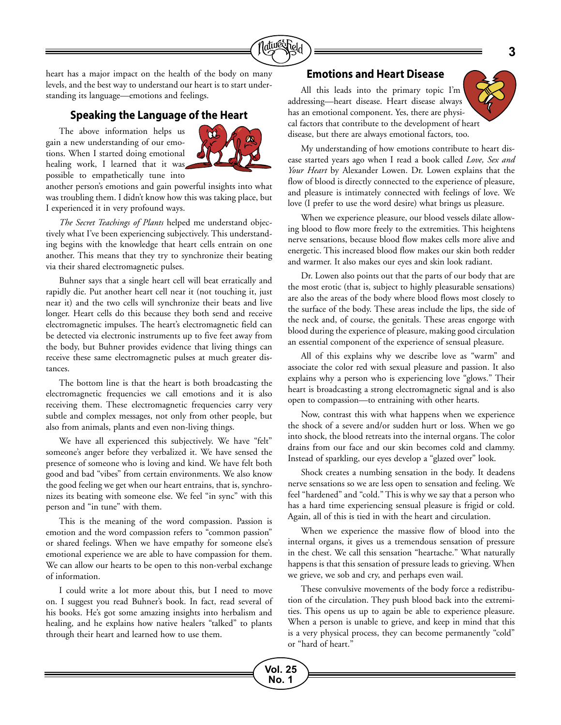

**Vol. 25 No. 1**

heart has a major impact on the health of the body on many levels, and the best way to understand our heart is to start understanding its language—emotions and feelings.

## **Speaking the Language of the Heart**

The above information helps us gain a new understanding of our emotions. When I started doing emotional healing work, I learned that it was possible to empathetically tune into



another person's emotions and gain powerful insights into what was troubling them. I didn't know how this was taking place, but I experienced it in very profound ways.

*The Secret Teachings of Plants* helped me understand objectively what I've been experiencing subjectively. This understanding begins with the knowledge that heart cells entrain on one another. This means that they try to synchronize their beating via their shared electromagnetic pulses.

Buhner says that a single heart cell will beat erratically and rapidly die. Put another heart cell near it (not touching it, just near it) and the two cells will synchronize their beats and live longer. Heart cells do this because they both send and receive electromagnetic impulses. The heart's electromagnetic field can be detected via electronic instruments up to five feet away from the body, but Buhner provides evidence that living things can receive these same electromagnetic pulses at much greater distances.

The bottom line is that the heart is both broadcasting the electromagnetic frequencies we call emotions and it is also receiving them. These electromagnetic frequencies carry very subtle and complex messages, not only from other people, but also from animals, plants and even non-living things.

We have all experienced this subjectively. We have "felt" someone's anger before they verbalized it. We have sensed the presence of someone who is loving and kind. We have felt both good and bad "vibes" from certain environments. We also know the good feeling we get when our heart entrains, that is, synchronizes its beating with someone else. We feel "in sync" with this person and "in tune" with them.

This is the meaning of the word compassion. Passion is emotion and the word compassion refers to "common passion" or shared feelings. When we have empathy for someone else's emotional experience we are able to have compassion for them. We can allow our hearts to be open to this non-verbal exchange of information.

I could write a lot more about this, but I need to move on. I suggest you read Buhner's book. In fact, read several of his books. He's got some amazing insights into herbalism and healing, and he explains how native healers "talked" to plants through their heart and learned how to use them.

## **Emotions and Heart Disease**

All this leads into the primary topic I'm addressing—heart disease. Heart disease always has an emotional component. Yes, there are physical factors that contribute to the development of heart disease, but there are always emotional factors, too.

My understanding of how emotions contribute to heart disease started years ago when I read a book called *Love, Sex and Your Heart* by Alexander Lowen. Dr. Lowen explains that the flow of blood is directly connected to the experience of pleasure, and pleasure is intimately connected with feelings of love. We love (I prefer to use the word desire) what brings us pleasure.

When we experience pleasure, our blood vessels dilate allowing blood to flow more freely to the extremities. This heightens nerve sensations, because blood flow makes cells more alive and energetic. This increased blood flow makes our skin both redder and warmer. It also makes our eyes and skin look radiant.

Dr. Lowen also points out that the parts of our body that are the most erotic (that is, subject to highly pleasurable sensations) are also the areas of the body where blood flows most closely to the surface of the body. These areas include the lips, the side of the neck and, of course, the genitals. These areas engorge with blood during the experience of pleasure, making good circulation an essential component of the experience of sensual pleasure.

All of this explains why we describe love as "warm" and associate the color red with sexual pleasure and passion. It also explains why a person who is experiencing love "glows." Their heart is broadcasting a strong electromagnetic signal and is also open to compassion—to entraining with other hearts.

Now, contrast this with what happens when we experience the shock of a severe and/or sudden hurt or loss. When we go into shock, the blood retreats into the internal organs. The color drains from our face and our skin becomes cold and clammy. Instead of sparkling, our eyes develop a "glazed over" look.

Shock creates a numbing sensation in the body. It deadens nerve sensations so we are less open to sensation and feeling. We feel "hardened" and "cold." This is why we say that a person who has a hard time experiencing sensual pleasure is frigid or cold. Again, all of this is tied in with the heart and circulation.

When we experience the massive flow of blood into the internal organs, it gives us a tremendous sensation of pressure in the chest. We call this sensation "heartache." What naturally happens is that this sensation of pressure leads to grieving. When we grieve, we sob and cry, and perhaps even wail.

These convulsive movements of the body force a redistribution of the circulation. They push blood back into the extremities. This opens us up to again be able to experience pleasure. When a person is unable to grieve, and keep in mind that this is a very physical process, they can become permanently "cold" or "hard of heart."

**3**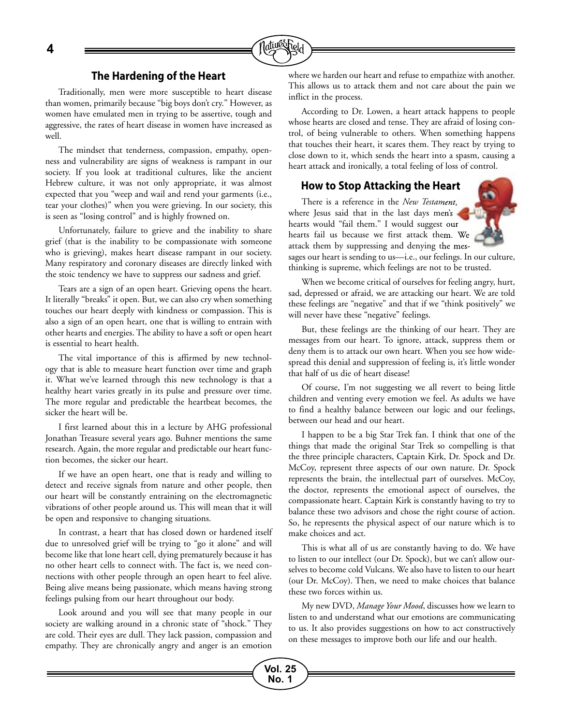**4**



Traditionally, men were more susceptible to heart disease than women, primarily because "big boys don't cry." However, as women have emulated men in trying to be assertive, tough and aggressive, the rates of heart disease in women have increased as well.

The mindset that tenderness, compassion, empathy, openness and vulnerability are signs of weakness is rampant in our society. If you look at traditional cultures, like the ancient Hebrew culture, it was not only appropriate, it was almost expected that you "weep and wail and rend your garments (i.e., tear your clothes)" when you were grieving. In our society, this is seen as "losing control" and is highly frowned on.

Unfortunately, failure to grieve and the inability to share grief (that is the inability to be compassionate with someone who is grieving), makes heart disease rampant in our society. Many respiratory and coronary diseases are directly linked with the stoic tendency we have to suppress our sadness and grief.

Tears are a sign of an open heart. Grieving opens the heart. It literally "breaks" it open. But, we can also cry when something touches our heart deeply with kindness or compassion. This is also a sign of an open heart, one that is willing to entrain with other hearts and energies. The ability to have a soft or open heart is essential to heart health.

The vital importance of this is affirmed by new technology that is able to measure heart function over time and graph it. What we've learned through this new technology is that a healthy heart varies greatly in its pulse and pressure over time. The more regular and predictable the heartbeat becomes, the sicker the heart will be.

I first learned about this in a lecture by AHG professional Jonathan Treasure several years ago. Buhner mentions the same research. Again, the more regular and predictable our heart function becomes, the sicker our heart.

If we have an open heart, one that is ready and willing to detect and receive signals from nature and other people, then our heart will be constantly entraining on the electromagnetic vibrations of other people around us. This will mean that it will be open and responsive to changing situations.

In contrast, a heart that has closed down or hardened itself due to unresolved grief will be trying to "go it alone" and will become like that lone heart cell, dying prematurely because it has no other heart cells to connect with. The fact is, we need connections with other people through an open heart to feel alive. Being alive means being passionate, which means having strong feelings pulsing from our heart throughout our body.

Look around and you will see that many people in our society are walking around in a chronic state of "shock." They are cold. Their eyes are dull. They lack passion, compassion and empathy. They are chronically angry and anger is an emotion where we harden our heart and refuse to empathize with another. This allows us to attack them and not care about the pain we inflict in the process.

According to Dr. Lowen, a heart attack happens to people whose hearts are closed and tense. They are afraid of losing control, of being vulnerable to others. When something happens that touches their heart, it scares them. They react by trying to close down to it, which sends the heart into a spasm, causing a heart attack and ironically, a total feeling of loss of control.

## **How to Stop Attacking the Heart**

There is a reference in the *New Testament* , where Jesus said that in the last days men's hearts would "fail them." I would suggest our hearts fail us because we first attack them. We attack them by suppressing and denying the messuggest our<br>ack them. We<br>nying the mes-



sages our heart is sending to us—i.e., our feelings. In our culture, thinking is supreme, which feelings are not to be trusted.

When we become critical of ourselves for feeling angry, hurt, sad, depressed or afraid, we are attacking our heart. We are told these feelings are "negative" and that if we "think positively" we will never have these "negative" feelings.

But, these feelings are the thinking of our heart. They are messages from our heart. To ignore, attack, suppress them or deny them is to attack our own heart. When you see how widespread this denial and suppression of feeling is, it's little wonder that half of us die of heart disease!

Of course, I'm not suggesting we all revert to being little children and venting every emotion we feel. As adults we have to find a healthy balance between our logic and our feelings, between our head and our heart.

I happen to be a big Star Trek fan. I think that one of the things that made the original Star Trek so compelling is that the three principle characters, Captain Kirk, Dr. Spock and Dr. McCoy, represent three aspects of our own nature. Dr. Spock represents the brain, the intellectual part of ourselves. McCoy, the doctor, represents the emotional aspect of ourselves, the compassionate heart. Captain Kirk is constantly having to try to balance these two advisors and chose the right course of action. So, he represents the physical aspect of our nature which is to make choices and act.

This is what all of us are constantly having to do. We have to listen to our intellect (our Dr. Spock), but we can't allow ourselves to become cold Vulcans. We also have to listen to our heart (our Dr. McCoy). Then, we need to make choices that balance these two forces within us.

My new DVD, *Manage Your Mood*, discusses how we learn to listen to and understand what our emotions are communicating to us. It also provides suggestions on how to act constructively on these messages to improve both our life and our health.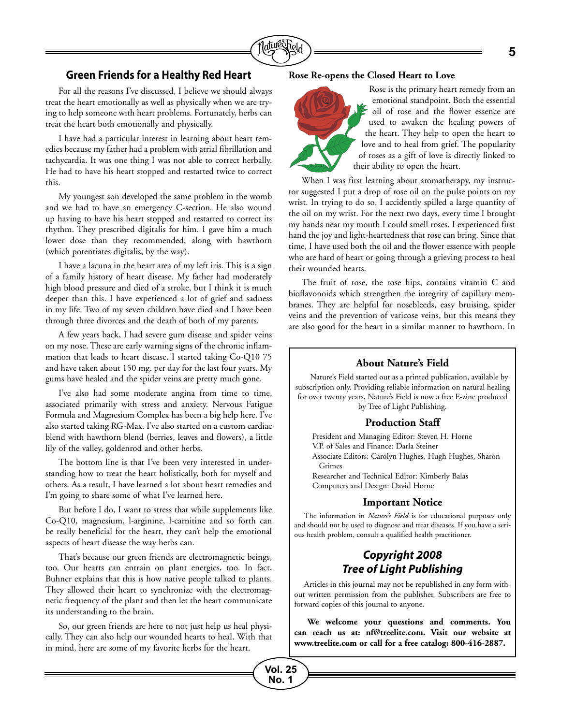

## **Green Friends for a Healthy Red Heart**

For all the reasons I've discussed, I believe we should always treat the heart emotionally as well as physically when we are trying to help someone with heart problems. Fortunately, herbs can treat the heart both emotionally and physically.

I have had a particular interest in learning about heart remedies because my father had a problem with atrial fibrillation and tachycardia. It was one thing I was not able to correct herbally. He had to have his heart stopped and restarted twice to correct this.

My youngest son developed the same problem in the womb and we had to have an emergency C-section. He also wound up having to have his heart stopped and restarted to correct its rhythm. They prescribed digitalis for him. I gave him a much lower dose than they recommended, along with hawthorn (which potentiates digitalis, by the way).

I have a lacuna in the heart area of my left iris. This is a sign of a family history of heart disease. My father had moderately high blood pressure and died of a stroke, but I think it is much deeper than this. I have experienced a lot of grief and sadness in my life. Two of my seven children have died and I have been through three divorces and the death of both of my parents.

A few years back, I had severe gum disease and spider veins on my nose. These are early warning signs of the chronic inflammation that leads to heart disease. I started taking Co-Q10 75 and have taken about 150 mg. per day for the last four years. My gums have healed and the spider veins are pretty much gone.

I've also had some moderate angina from time to time, associated primarily with stress and anxiety. Nervous Fatigue Formula and Magnesium Complex has been a big help here. I've also started taking RG-Max. I've also started on a custom cardiac blend with hawthorn blend (berries, leaves and flowers), a little lily of the valley, goldenrod and other herbs.

The bottom line is that I've been very interested in understanding how to treat the heart holistically, both for myself and others. As a result, I have learned a lot about heart remedies and I'm going to share some of what I've learned here.

But before I do, I want to stress that while supplements like Co-Q10, magnesium, l-arginine, l-carnitine and so forth can be really beneficial for the heart, they can't help the emotional aspects of heart disease the way herbs can.

That's because our green friends are electromagnetic beings, too. Our hearts can entrain on plant energies, too. In fact, Buhner explains that this is how native people talked to plants. They allowed their heart to synchronize with the electromagnetic frequency of the plant and then let the heart communicate its understanding to the brain.

So, our green friends are here to not just help us heal physically. They can also help our wounded hearts to heal. With that in mind, here are some of my favorite herbs for the heart.

## **Rose Re-opens the Closed Heart to Love**



Rose is the primary heart remedy from an emotional standpoint. Both the essential oil of rose and the flower essence are used to awaken the healing powers of the heart. They help to open the heart to love and to heal from grief. The popularity of roses as a gift of love is directly linked to their ability to open the heart.

When I was first learning about aromatherapy, my instructor suggested I put a drop of rose oil on the pulse points on my wrist. In trying to do so, I accidently spilled a large quantity of the oil on my wrist. For the next two days, every time I brought my hands near my mouth I could smell roses. I experienced first hand the joy and light-heartedness that rose can bring. Since that time, I have used both the oil and the flower essence with people who are hard of heart or going through a grieving process to heal their wounded hearts.

The fruit of rose, the rose hips, contains vitamin C and bioflavonoids which strengthen the integrity of capillary membranes. They are helpful for nosebleeds, easy bruising, spider veins and the prevention of varicose veins, but this means they are also good for the heart in a similar manner to hawthorn. In

## **About Nature's Field**

Nature's Field started out as a printed publication, available by subscription only. Providing reliable information on natural healing for over twenty years, Nature's Field is now a free E-zine produced by Tree of Light Publishing.

#### **Production Staff**

President and Managing Editor: Steven H. Horne V.P. of Sales and Finance: Darla Steiner Associate Editors: Carolyn Hughes, Hugh Hughes, Sharon Grimes Researcher and Technical Editor: Kimberly Balas

Computers and Design: David Horne

## **Important Notice**

The information in *Nature's Field* is for educational purposes only and should not be used to diagnose and treat diseases. If you have a serious health problem, consult a qualified health practitioner.

## *Copyright 2008 Tree of Light Publishing*

Articles in this journal may not be republished in any form without written permission from the publisher. Subscribers are free to forward copies of this journal to anyone.

**We welcome your questions and comments. You can reach us at: nf@treelite.com. Visit our website at www.treelite.com or call for a free catalog: 800-416-2887.**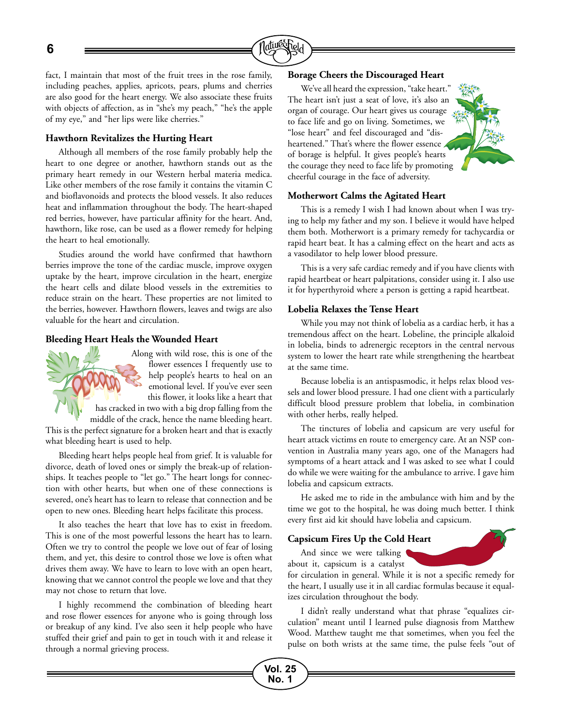**6**



fact, I maintain that most of the fruit trees in the rose family, including peaches, applies, apricots, pears, plums and cherries are also good for the heart energy. We also associate these fruits with objects of affection, as in "she's my peach," "he's the apple of my eye," and "her lips were like cherries."

## **Hawthorn Revitalizes the Hurting Heart**

Although all members of the rose family probably help the heart to one degree or another, hawthorn stands out as the primary heart remedy in our Western herbal materia medica. Like other members of the rose family it contains the vitamin C and bioflavonoids and protects the blood vessels. It also reduces heat and inflammation throughout the body. The heart-shaped red berries, however, have particular affinity for the heart. And, hawthorn, like rose, can be used as a flower remedy for helping the heart to heal emotionally.

Studies around the world have confirmed that hawthorn berries improve the tone of the cardiac muscle, improve oxygen uptake by the heart, improve circulation in the heart, energize the heart cells and dilate blood vessels in the extremities to reduce strain on the heart. These properties are not limited to the berries, however. Hawthorn flowers, leaves and twigs are also valuable for the heart and circulation.

## **Bleeding Heart Heals the Wounded Heart**



Along with wild rose, this is one of the flower essences I frequently use to help people's hearts to heal on an emotional level. If you've ever seen this flower, it looks like a heart that

has cracked in two with a big drop falling from the middle of the crack, hence the name bleeding heart.

This is the perfect signature for a broken heart and that is exactly what bleeding heart is used to help.

Bleeding heart helps people heal from grief. It is valuable for divorce, death of loved ones or simply the break-up of relationships. It teaches people to "let go." The heart longs for connection with other hearts, but when one of these connections is severed, one's heart has to learn to release that connection and be open to new ones. Bleeding heart helps facilitate this process.

It also teaches the heart that love has to exist in freedom. This is one of the most powerful lessons the heart has to learn. Often we try to control the people we love out of fear of losing them, and yet, this desire to control those we love is often what drives them away. We have to learn to love with an open heart, knowing that we cannot control the people we love and that they may not chose to return that love.

I highly recommend the combination of bleeding heart and rose flower essences for anyone who is going through loss or breakup of any kind. I've also seen it help people who have stuffed their grief and pain to get in touch with it and release it through a normal grieving process.

## **Borage Cheers the Discouraged Heart**

We've all heard the expression, "take heart." The heart isn't just a seat of love, it's also an organ of courage. Our heart gives us courage to face life and go on living. Sometimes, we "lose heart" and feel discouraged and "disheartened." That's where the flower essence of borage is helpful. It gives people's hearts the courage they need to face life by promoting cheerful courage in the face of adversity.

#### **Motherwort Calms the Agitated Heart**

This is a remedy I wish I had known about when I was trying to help my father and my son. I believe it would have helped them both. Motherwort is a primary remedy for tachycardia or rapid heart beat. It has a calming effect on the heart and acts as a vasodilator to help lower blood pressure.

This is a very safe cardiac remedy and if you have clients with rapid heartbeat or heart palpitations, consider using it. I also use it for hyperthyroid where a person is getting a rapid heartbeat.

#### **Lobelia Relaxes the Tense Heart**

While you may not think of lobelia as a cardiac herb, it has a tremendous affect on the heart. Lobeline, the principle alkaloid in lobelia, binds to adrenergic receptors in the central nervous system to lower the heart rate while strengthening the heartbeat at the same time.

Because lobelia is an antispasmodic, it helps relax blood vessels and lower blood pressure. I had one client with a particularly difficult blood pressure problem that lobelia, in combination with other herbs, really helped.

The tinctures of lobelia and capsicum are very useful for heart attack victims en route to emergency care. At an NSP convention in Australia many years ago, one of the Managers had symptoms of a heart attack and I was asked to see what I could do while we were waiting for the ambulance to arrive. I gave him lobelia and capsicum extracts.

He asked me to ride in the ambulance with him and by the time we got to the hospital, he was doing much better. I think every first aid kit should have lobelia and capsicum.

#### **Capsicum Fires Up the Cold Heart**



And since we were talking about it, capsicum is a catalyst

for circulation in general. While it is not a specific remedy for the heart, I usually use it in all cardiac formulas because it equalizes circulation throughout the body.

I didn't really understand what that phrase "equalizes circulation" meant until I learned pulse diagnosis from Matthew Wood. Matthew taught me that sometimes, when you feel the pulse on both wrists at the same time, the pulse feels "out of

**Vol. 25 No. 1**